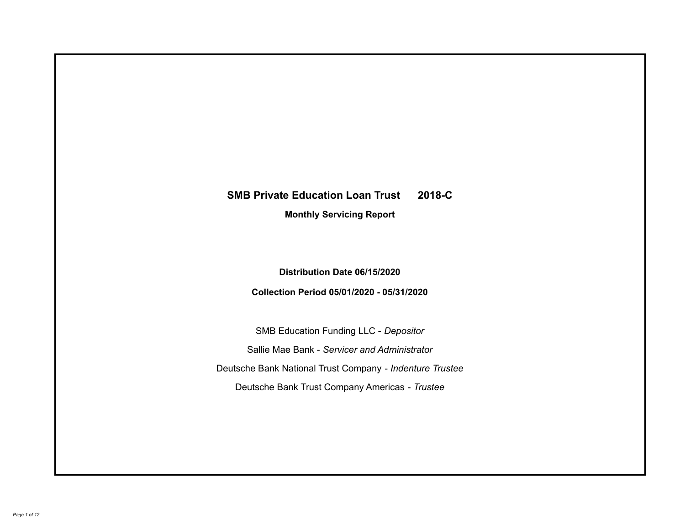# **SMB Private Education Loan Trust 2018-C Monthly Servicing Report**

**Distribution Date 06/15/2020**

**Collection Period 05/01/2020 - 05/31/2020**

SMB Education Funding LLC - *Depositor* Sallie Mae Bank - *Servicer and Administrator* Deutsche Bank National Trust Company - *Indenture Trustee* Deutsche Bank Trust Company Americas - *Trustee*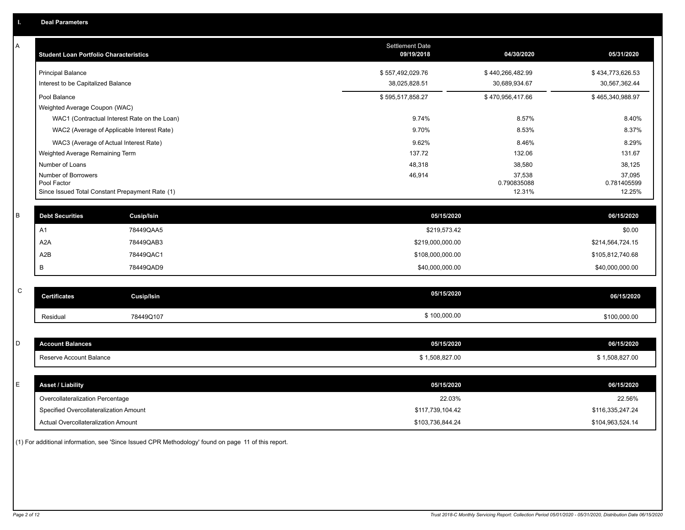| A           | <b>Student Loan Portfolio Characteristics</b>   | <b>Settlement Date</b><br>09/19/2018 | 04/30/2020            | 05/31/2020            |
|-------------|-------------------------------------------------|--------------------------------------|-----------------------|-----------------------|
|             | <b>Principal Balance</b>                        | \$557,492,029.76                     | \$440,266,482.99      | \$434,773,626.53      |
|             | Interest to be Capitalized Balance              | 38,025,828.51                        | 30,689,934.67         | 30,567,362.44         |
|             | Pool Balance                                    | \$595,517,858.27                     | \$470,956,417.66      | \$465,340,988.97      |
|             | Weighted Average Coupon (WAC)                   |                                      |                       |                       |
|             | WAC1 (Contractual Interest Rate on the Loan)    | 9.74%                                | 8.57%                 | 8.40%                 |
|             | WAC2 (Average of Applicable Interest Rate)      | 9.70%                                | 8.53%                 | 8.37%                 |
|             | WAC3 (Average of Actual Interest Rate)          | 9.62%                                | 8.46%                 | 8.29%                 |
|             | Weighted Average Remaining Term                 | 137.72                               | 132.06                | 131.67                |
|             | Number of Loans                                 | 48,318                               | 38,580                | 38,125                |
|             | Number of Borrowers<br>Pool Factor              | 46,914                               | 37,538<br>0.790835088 | 37,095<br>0.781405599 |
|             | Since Issued Total Constant Prepayment Rate (1) |                                      | 12.31%                | 12.25%                |
|             |                                                 |                                      |                       |                       |
| $\sf B$     | <b>Debt Securities</b><br><b>Cusip/Isin</b>     | 05/15/2020                           |                       | 06/15/2020            |
|             | 78449QAA5<br>A1                                 | \$219,573.42                         |                       | \$0.00                |
|             | A <sub>2</sub> A<br>78449QAB3                   | \$219,000,000.00                     |                       | \$214,564,724.15      |
|             | A2B<br>78449QAC1                                | \$108,000,000.00                     |                       | \$105,812,740.68      |
|             | В<br>78449QAD9                                  | \$40,000,000.00                      |                       | \$40,000,000.00       |
|             |                                                 |                                      |                       |                       |
| $\mathsf C$ | <b>Certificates</b><br><b>Cusip/Isin</b>        | 05/15/2020                           |                       | 06/15/2020            |
|             | Residual<br>78449Q107                           | \$100,000.00                         |                       | \$100,000.00          |
|             |                                                 |                                      |                       |                       |
| D           | <b>Account Balances</b>                         | 05/15/2020                           |                       | 06/15/2020            |
|             | Reserve Account Balance                         | \$1,508,827.00                       |                       | \$1,508,827.00        |
|             |                                                 |                                      |                       |                       |
| E           | <b>Asset / Liability</b>                        | 05/15/2020                           |                       | 06/15/2020            |
|             | Overcollateralization Percentage                | 22.03%                               |                       | 22.56%                |
|             | Specified Overcollateralization Amount          | \$117,739,104.42                     |                       | \$116,335,247.24      |
|             | <b>Actual Overcollateralization Amount</b>      | \$103,736,844.24                     |                       | \$104,963,524.14      |

(1) For additional information, see 'Since Issued CPR Methodology' found on page 11 of this report.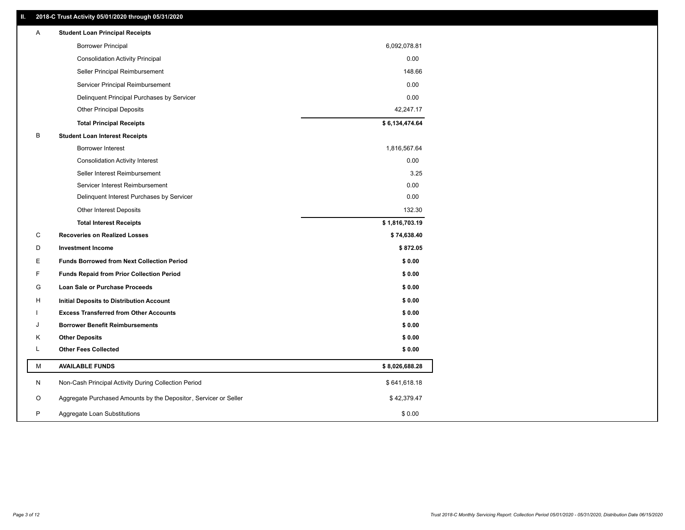### **II. 2018-C Trust Activity 05/01/2020 through 05/31/2020**

| <b>Borrower Principal</b><br>6,092,078.81<br><b>Consolidation Activity Principal</b><br>0.00<br>148.66<br>Seller Principal Reimbursement<br>0.00<br>Servicer Principal Reimbursement<br>0.00<br>Delinquent Principal Purchases by Servicer<br><b>Other Principal Deposits</b><br>42,247.17<br>\$6,134,474.64<br><b>Total Principal Receipts</b><br>В<br><b>Student Loan Interest Receipts</b><br>1,816,567.64<br><b>Borrower Interest</b><br><b>Consolidation Activity Interest</b><br>0.00<br>Seller Interest Reimbursement<br>3.25<br>0.00<br>Servicer Interest Reimbursement<br>0.00<br>Delinquent Interest Purchases by Servicer<br>132.30<br><b>Other Interest Deposits</b><br>\$1,816,703.19<br><b>Total Interest Receipts</b><br>C<br><b>Recoveries on Realized Losses</b><br>\$74,638.40<br>D<br><b>Investment Income</b><br>\$872.05<br>Е<br><b>Funds Borrowed from Next Collection Period</b><br>\$0.00<br>F<br><b>Funds Repaid from Prior Collection Period</b><br>\$0.00<br>G<br>Loan Sale or Purchase Proceeds<br>\$0.00<br>\$0.00<br>н<br>Initial Deposits to Distribution Account<br><b>Excess Transferred from Other Accounts</b><br>\$0.00<br><b>Borrower Benefit Reimbursements</b><br>\$0.00<br>J<br>Κ<br><b>Other Deposits</b><br>\$0.00<br>L<br><b>Other Fees Collected</b><br>\$0.00<br>М<br><b>AVAILABLE FUNDS</b><br>\$8,026,688.28<br>N<br>Non-Cash Principal Activity During Collection Period<br>\$641,618.18<br>Aggregate Purchased Amounts by the Depositor, Servicer or Seller<br>O<br>\$42,379.47<br>P<br>Aggregate Loan Substitutions<br>\$0.00 | Α | <b>Student Loan Principal Receipts</b> |  |
|---------------------------------------------------------------------------------------------------------------------------------------------------------------------------------------------------------------------------------------------------------------------------------------------------------------------------------------------------------------------------------------------------------------------------------------------------------------------------------------------------------------------------------------------------------------------------------------------------------------------------------------------------------------------------------------------------------------------------------------------------------------------------------------------------------------------------------------------------------------------------------------------------------------------------------------------------------------------------------------------------------------------------------------------------------------------------------------------------------------------------------------------------------------------------------------------------------------------------------------------------------------------------------------------------------------------------------------------------------------------------------------------------------------------------------------------------------------------------------------------------------------------------------------------------------------------------------|---|----------------------------------------|--|
|                                                                                                                                                                                                                                                                                                                                                                                                                                                                                                                                                                                                                                                                                                                                                                                                                                                                                                                                                                                                                                                                                                                                                                                                                                                                                                                                                                                                                                                                                                                                                                                 |   |                                        |  |
|                                                                                                                                                                                                                                                                                                                                                                                                                                                                                                                                                                                                                                                                                                                                                                                                                                                                                                                                                                                                                                                                                                                                                                                                                                                                                                                                                                                                                                                                                                                                                                                 |   |                                        |  |
|                                                                                                                                                                                                                                                                                                                                                                                                                                                                                                                                                                                                                                                                                                                                                                                                                                                                                                                                                                                                                                                                                                                                                                                                                                                                                                                                                                                                                                                                                                                                                                                 |   |                                        |  |
|                                                                                                                                                                                                                                                                                                                                                                                                                                                                                                                                                                                                                                                                                                                                                                                                                                                                                                                                                                                                                                                                                                                                                                                                                                                                                                                                                                                                                                                                                                                                                                                 |   |                                        |  |
|                                                                                                                                                                                                                                                                                                                                                                                                                                                                                                                                                                                                                                                                                                                                                                                                                                                                                                                                                                                                                                                                                                                                                                                                                                                                                                                                                                                                                                                                                                                                                                                 |   |                                        |  |
|                                                                                                                                                                                                                                                                                                                                                                                                                                                                                                                                                                                                                                                                                                                                                                                                                                                                                                                                                                                                                                                                                                                                                                                                                                                                                                                                                                                                                                                                                                                                                                                 |   |                                        |  |
|                                                                                                                                                                                                                                                                                                                                                                                                                                                                                                                                                                                                                                                                                                                                                                                                                                                                                                                                                                                                                                                                                                                                                                                                                                                                                                                                                                                                                                                                                                                                                                                 |   |                                        |  |
|                                                                                                                                                                                                                                                                                                                                                                                                                                                                                                                                                                                                                                                                                                                                                                                                                                                                                                                                                                                                                                                                                                                                                                                                                                                                                                                                                                                                                                                                                                                                                                                 |   |                                        |  |
|                                                                                                                                                                                                                                                                                                                                                                                                                                                                                                                                                                                                                                                                                                                                                                                                                                                                                                                                                                                                                                                                                                                                                                                                                                                                                                                                                                                                                                                                                                                                                                                 |   |                                        |  |
|                                                                                                                                                                                                                                                                                                                                                                                                                                                                                                                                                                                                                                                                                                                                                                                                                                                                                                                                                                                                                                                                                                                                                                                                                                                                                                                                                                                                                                                                                                                                                                                 |   |                                        |  |
|                                                                                                                                                                                                                                                                                                                                                                                                                                                                                                                                                                                                                                                                                                                                                                                                                                                                                                                                                                                                                                                                                                                                                                                                                                                                                                                                                                                                                                                                                                                                                                                 |   |                                        |  |
|                                                                                                                                                                                                                                                                                                                                                                                                                                                                                                                                                                                                                                                                                                                                                                                                                                                                                                                                                                                                                                                                                                                                                                                                                                                                                                                                                                                                                                                                                                                                                                                 |   |                                        |  |
|                                                                                                                                                                                                                                                                                                                                                                                                                                                                                                                                                                                                                                                                                                                                                                                                                                                                                                                                                                                                                                                                                                                                                                                                                                                                                                                                                                                                                                                                                                                                                                                 |   |                                        |  |
|                                                                                                                                                                                                                                                                                                                                                                                                                                                                                                                                                                                                                                                                                                                                                                                                                                                                                                                                                                                                                                                                                                                                                                                                                                                                                                                                                                                                                                                                                                                                                                                 |   |                                        |  |
|                                                                                                                                                                                                                                                                                                                                                                                                                                                                                                                                                                                                                                                                                                                                                                                                                                                                                                                                                                                                                                                                                                                                                                                                                                                                                                                                                                                                                                                                                                                                                                                 |   |                                        |  |
|                                                                                                                                                                                                                                                                                                                                                                                                                                                                                                                                                                                                                                                                                                                                                                                                                                                                                                                                                                                                                                                                                                                                                                                                                                                                                                                                                                                                                                                                                                                                                                                 |   |                                        |  |
|                                                                                                                                                                                                                                                                                                                                                                                                                                                                                                                                                                                                                                                                                                                                                                                                                                                                                                                                                                                                                                                                                                                                                                                                                                                                                                                                                                                                                                                                                                                                                                                 |   |                                        |  |
|                                                                                                                                                                                                                                                                                                                                                                                                                                                                                                                                                                                                                                                                                                                                                                                                                                                                                                                                                                                                                                                                                                                                                                                                                                                                                                                                                                                                                                                                                                                                                                                 |   |                                        |  |
|                                                                                                                                                                                                                                                                                                                                                                                                                                                                                                                                                                                                                                                                                                                                                                                                                                                                                                                                                                                                                                                                                                                                                                                                                                                                                                                                                                                                                                                                                                                                                                                 |   |                                        |  |
|                                                                                                                                                                                                                                                                                                                                                                                                                                                                                                                                                                                                                                                                                                                                                                                                                                                                                                                                                                                                                                                                                                                                                                                                                                                                                                                                                                                                                                                                                                                                                                                 |   |                                        |  |
|                                                                                                                                                                                                                                                                                                                                                                                                                                                                                                                                                                                                                                                                                                                                                                                                                                                                                                                                                                                                                                                                                                                                                                                                                                                                                                                                                                                                                                                                                                                                                                                 |   |                                        |  |
|                                                                                                                                                                                                                                                                                                                                                                                                                                                                                                                                                                                                                                                                                                                                                                                                                                                                                                                                                                                                                                                                                                                                                                                                                                                                                                                                                                                                                                                                                                                                                                                 |   |                                        |  |
|                                                                                                                                                                                                                                                                                                                                                                                                                                                                                                                                                                                                                                                                                                                                                                                                                                                                                                                                                                                                                                                                                                                                                                                                                                                                                                                                                                                                                                                                                                                                                                                 |   |                                        |  |
|                                                                                                                                                                                                                                                                                                                                                                                                                                                                                                                                                                                                                                                                                                                                                                                                                                                                                                                                                                                                                                                                                                                                                                                                                                                                                                                                                                                                                                                                                                                                                                                 |   |                                        |  |
|                                                                                                                                                                                                                                                                                                                                                                                                                                                                                                                                                                                                                                                                                                                                                                                                                                                                                                                                                                                                                                                                                                                                                                                                                                                                                                                                                                                                                                                                                                                                                                                 |   |                                        |  |
|                                                                                                                                                                                                                                                                                                                                                                                                                                                                                                                                                                                                                                                                                                                                                                                                                                                                                                                                                                                                                                                                                                                                                                                                                                                                                                                                                                                                                                                                                                                                                                                 |   |                                        |  |
|                                                                                                                                                                                                                                                                                                                                                                                                                                                                                                                                                                                                                                                                                                                                                                                                                                                                                                                                                                                                                                                                                                                                                                                                                                                                                                                                                                                                                                                                                                                                                                                 |   |                                        |  |
|                                                                                                                                                                                                                                                                                                                                                                                                                                                                                                                                                                                                                                                                                                                                                                                                                                                                                                                                                                                                                                                                                                                                                                                                                                                                                                                                                                                                                                                                                                                                                                                 |   |                                        |  |
|                                                                                                                                                                                                                                                                                                                                                                                                                                                                                                                                                                                                                                                                                                                                                                                                                                                                                                                                                                                                                                                                                                                                                                                                                                                                                                                                                                                                                                                                                                                                                                                 |   |                                        |  |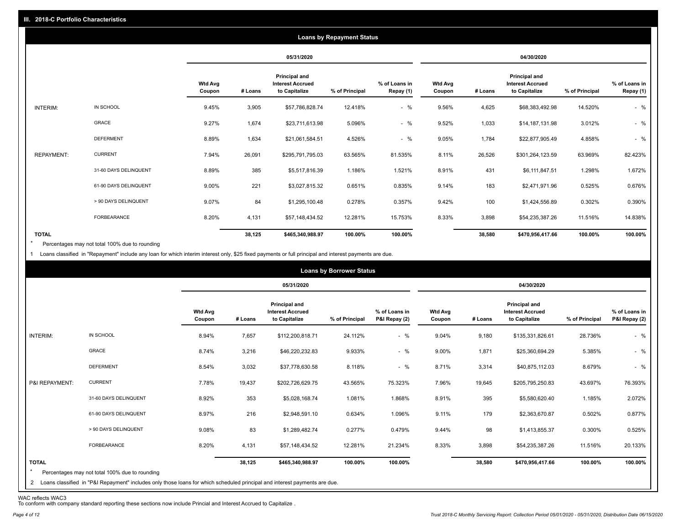|                   |                       |                          |         |                                                                  | <b>Loans by Repayment Status</b> |                            |                          |         |                                                           |                |                            |
|-------------------|-----------------------|--------------------------|---------|------------------------------------------------------------------|----------------------------------|----------------------------|--------------------------|---------|-----------------------------------------------------------|----------------|----------------------------|
|                   |                       |                          |         | 05/31/2020                                                       |                                  |                            |                          |         | 04/30/2020                                                |                |                            |
|                   |                       | <b>Wtd Avg</b><br>Coupon | # Loans | <b>Principal and</b><br><b>Interest Accrued</b><br>to Capitalize | % of Principal                   | % of Loans in<br>Repay (1) | <b>Wtd Avg</b><br>Coupon | # Loans | Principal and<br><b>Interest Accrued</b><br>to Capitalize | % of Principal | % of Loans in<br>Repay (1) |
| INTERIM:          | IN SCHOOL             | 9.45%                    | 3,905   | \$57,786,828.74                                                  | 12.418%                          | $-$ %                      | 9.56%                    | 4,625   | \$68,383,492.98                                           | 14.520%        | $-$ %                      |
|                   | <b>GRACE</b>          | 9.27%                    | 1,674   | \$23,711,613.98                                                  | 5.096%                           | $-$ %                      | 9.52%                    | 1,033   | \$14,187,131.98                                           | 3.012%         | $-$ %                      |
|                   | <b>DEFERMENT</b>      | 8.89%                    | 1,634   | \$21,061,584.51                                                  | 4.526%                           | $-$ %                      | 9.05%                    | 1,784   | \$22,877,905.49                                           | 4.858%         | $-$ %                      |
| <b>REPAYMENT:</b> | <b>CURRENT</b>        | 7.94%                    | 26,091  | \$295,791,795.03                                                 | 63.565%                          | 81.535%                    | 8.11%                    | 26,526  | \$301,264,123.59                                          | 63.969%        | 82.423%                    |
|                   | 31-60 DAYS DELINQUENT | 8.89%                    | 385     | \$5,517,816.39                                                   | 1.186%                           | 1.521%                     | 8.91%                    | 431     | \$6,111,847.51                                            | 1.298%         | 1.672%                     |
|                   | 61-90 DAYS DELINQUENT | 9.00%                    | 221     | \$3,027,815.32                                                   | 0.651%                           | 0.835%                     | 9.14%                    | 183     | \$2,471,971.96                                            | 0.525%         | 0.676%                     |
|                   | > 90 DAYS DELINQUENT  | 9.07%                    | 84      | \$1,295,100.48                                                   | 0.278%                           | 0.357%                     | 9.42%                    | 100     | \$1,424,556.89                                            | 0.302%         | 0.390%                     |
|                   | FORBEARANCE           | 8.20%                    | 4,131   | \$57,148,434.52                                                  | 12.281%                          | 15.753%                    | 8.33%                    | 3,898   | \$54,235,387.26                                           | 11.516%        | 14.838%                    |
| <b>TOTAL</b>      |                       |                          | 38,125  | \$465,340,988.97                                                 | 100.00%                          | 100.00%                    |                          | 38,580  | \$470,956,417.66                                          | 100.00%        | 100.00%                    |

Percentages may not total 100% due to rounding  $\star$ 

1 Loans classified in "Repayment" include any loan for which interim interest only, \$25 fixed payments or full principal and interest payments are due.

| 05/31/2020<br>04/30/2020<br><b>Principal and</b><br><b>Principal and</b><br><b>Wtd Avg</b><br><b>Interest Accrued</b><br>% of Loans in<br><b>Wtd Avg</b><br><b>Interest Accrued</b><br>to Capitalize<br>% of Principal<br>P&I Repay (2)<br>to Capitalize<br># Loans<br>Coupon<br>% of Principal<br>Coupon<br># Loans<br>IN SCHOOL<br>$-$ %<br>INTERIM:<br>8.94%<br>7,657<br>\$112,200,818.71<br>24.112%<br>9.04%<br>28.736%<br>9,180<br>\$135,331,826.61<br>GRACE<br>$-$ %<br>8.74%<br>3,216<br>9.933%<br>9.00%<br>1,871<br>5.385%<br>\$46,220,232.83<br>\$25,360,694.29<br><b>DEFERMENT</b><br>$-$ %<br>8.54%<br>3,032<br>8.118%<br>8.71%<br>3,314<br>8.679%<br>\$37,778,630.58<br>\$40,875,112.03<br><b>CURRENT</b><br>P&I REPAYMENT:<br>7.78%<br>19,437<br>7.96%<br>\$202,726,629.75<br>43.565%<br>75.323%<br>19,645<br>\$205,795,250.83<br>43.697%<br>8.92%<br>353<br>395<br>31-60 DAYS DELINQUENT<br>1.081%<br>8.91%<br>1.185%<br>\$5,028,168.74<br>1.868%<br>\$5,580,620.40<br>61-90 DAYS DELINQUENT<br>8.97%<br>216<br>179<br>\$2,948,591.10<br>0.634%<br>1.096%<br>9.11%<br>\$2,363,670.87<br>0.502% |  |  | <b>Loans by Borrower Status</b> |  |  |                                |
|--------------------------------------------------------------------------------------------------------------------------------------------------------------------------------------------------------------------------------------------------------------------------------------------------------------------------------------------------------------------------------------------------------------------------------------------------------------------------------------------------------------------------------------------------------------------------------------------------------------------------------------------------------------------------------------------------------------------------------------------------------------------------------------------------------------------------------------------------------------------------------------------------------------------------------------------------------------------------------------------------------------------------------------------------------------------------------------------------------------|--|--|---------------------------------|--|--|--------------------------------|
|                                                                                                                                                                                                                                                                                                                                                                                                                                                                                                                                                                                                                                                                                                                                                                                                                                                                                                                                                                                                                                                                                                              |  |  |                                 |  |  |                                |
|                                                                                                                                                                                                                                                                                                                                                                                                                                                                                                                                                                                                                                                                                                                                                                                                                                                                                                                                                                                                                                                                                                              |  |  |                                 |  |  | % of Loans in<br>P&I Repay (2) |
|                                                                                                                                                                                                                                                                                                                                                                                                                                                                                                                                                                                                                                                                                                                                                                                                                                                                                                                                                                                                                                                                                                              |  |  |                                 |  |  | $-$ %                          |
|                                                                                                                                                                                                                                                                                                                                                                                                                                                                                                                                                                                                                                                                                                                                                                                                                                                                                                                                                                                                                                                                                                              |  |  |                                 |  |  | $-$ %                          |
|                                                                                                                                                                                                                                                                                                                                                                                                                                                                                                                                                                                                                                                                                                                                                                                                                                                                                                                                                                                                                                                                                                              |  |  |                                 |  |  | $-$ %                          |
|                                                                                                                                                                                                                                                                                                                                                                                                                                                                                                                                                                                                                                                                                                                                                                                                                                                                                                                                                                                                                                                                                                              |  |  |                                 |  |  | 76.393%                        |
|                                                                                                                                                                                                                                                                                                                                                                                                                                                                                                                                                                                                                                                                                                                                                                                                                                                                                                                                                                                                                                                                                                              |  |  |                                 |  |  | 2.072%                         |
|                                                                                                                                                                                                                                                                                                                                                                                                                                                                                                                                                                                                                                                                                                                                                                                                                                                                                                                                                                                                                                                                                                              |  |  |                                 |  |  | 0.877%                         |
| 83<br>98<br>> 90 DAYS DELINQUENT<br>9.08%<br>0.277%<br>0.479%<br>9.44%<br>0.300%<br>\$1,289,482.74<br>\$1,413,855.37                                                                                                                                                                                                                                                                                                                                                                                                                                                                                                                                                                                                                                                                                                                                                                                                                                                                                                                                                                                         |  |  |                                 |  |  | 0.525%                         |
| FORBEARANCE<br>8.20%<br>4,131<br>3,898<br>\$57,148,434.52<br>12.281%<br>21.234%<br>8.33%<br>\$54,235,387.26<br>11.516%                                                                                                                                                                                                                                                                                                                                                                                                                                                                                                                                                                                                                                                                                                                                                                                                                                                                                                                                                                                       |  |  |                                 |  |  | 20.133%                        |
| <b>TOTAL</b><br>38,125<br>100.00%<br>100.00%<br>38,580<br>100.00%<br>\$465,340,988.97<br>\$470,956,417.66<br>$\star$<br>Percentages may not total 100% due to rounding<br>2 Loans classified in "P&I Repayment" includes only those loans for which scheduled principal and interest payments are due.                                                                                                                                                                                                                                                                                                                                                                                                                                                                                                                                                                                                                                                                                                                                                                                                       |  |  |                                 |  |  | 100.00%                        |

WAC reflects WAC3 To conform with company standard reporting these sections now include Princial and Interest Accrued to Capitalize .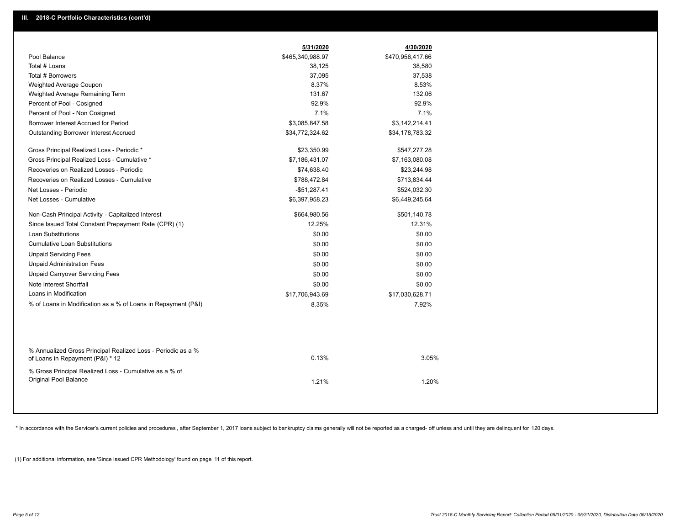| Pool Balance<br>\$465,340,988.97<br>\$470,956,417.66<br>Total # Loans<br>38,125<br>38,580<br>Total # Borrowers<br>37,095<br>37,538<br>8.37%<br>8.53%<br>Weighted Average Coupon<br>131.67<br>132.06<br>Weighted Average Remaining Term<br>92.9%<br>92.9%<br>Percent of Pool - Cosigned<br>7.1%<br>7.1%<br>Percent of Pool - Non Cosigned<br>Borrower Interest Accrued for Period<br>\$3,085,847.58<br>\$3,142,214.41<br><b>Outstanding Borrower Interest Accrued</b><br>\$34,772,324.62<br>\$34,178,783.32<br>Gross Principal Realized Loss - Periodic *<br>\$23,350.99<br>\$547,277.28<br>Gross Principal Realized Loss - Cumulative *<br>\$7,186,431.07<br>\$7,163,080.08<br>Recoveries on Realized Losses - Periodic<br>\$74,638.40<br>\$23,244.98<br>Recoveries on Realized Losses - Cumulative<br>\$788,472.84<br>\$713,834.44<br>Net Losses - Periodic<br>$-$51,287.41$<br>\$524,032.30<br>Net Losses - Cumulative<br>\$6,397,958.23<br>\$6,449,245.64<br>Non-Cash Principal Activity - Capitalized Interest<br>\$664,980.56<br>\$501,140.78<br>Since Issued Total Constant Prepayment Rate (CPR) (1)<br>12.25%<br>12.31%<br>Loan Substitutions<br>\$0.00<br>\$0.00<br><b>Cumulative Loan Substitutions</b><br>\$0.00<br>\$0.00<br><b>Unpaid Servicing Fees</b><br>\$0.00<br>\$0.00<br><b>Unpaid Administration Fees</b><br>\$0.00<br>\$0.00<br><b>Unpaid Carryover Servicing Fees</b><br>\$0.00<br>\$0.00<br>Note Interest Shortfall<br>\$0.00<br>\$0.00<br>Loans in Modification<br>\$17,706,943.69<br>\$17,030,628.71<br>% of Loans in Modification as a % of Loans in Repayment (P&I)<br>8.35%<br>7.92%<br>% Annualized Gross Principal Realized Loss - Periodic as a %<br>0.13%<br>3.05%<br>of Loans in Repayment (P&I) * 12<br>% Gross Principal Realized Loss - Cumulative as a % of<br><b>Original Pool Balance</b><br>1.21%<br>1.20% | 5/31/2020 | 4/30/2020 |
|-----------------------------------------------------------------------------------------------------------------------------------------------------------------------------------------------------------------------------------------------------------------------------------------------------------------------------------------------------------------------------------------------------------------------------------------------------------------------------------------------------------------------------------------------------------------------------------------------------------------------------------------------------------------------------------------------------------------------------------------------------------------------------------------------------------------------------------------------------------------------------------------------------------------------------------------------------------------------------------------------------------------------------------------------------------------------------------------------------------------------------------------------------------------------------------------------------------------------------------------------------------------------------------------------------------------------------------------------------------------------------------------------------------------------------------------------------------------------------------------------------------------------------------------------------------------------------------------------------------------------------------------------------------------------------------------------------------------------------------------------------------------------------------------------------------------------------------------------------|-----------|-----------|
|                                                                                                                                                                                                                                                                                                                                                                                                                                                                                                                                                                                                                                                                                                                                                                                                                                                                                                                                                                                                                                                                                                                                                                                                                                                                                                                                                                                                                                                                                                                                                                                                                                                                                                                                                                                                                                                     |           |           |
|                                                                                                                                                                                                                                                                                                                                                                                                                                                                                                                                                                                                                                                                                                                                                                                                                                                                                                                                                                                                                                                                                                                                                                                                                                                                                                                                                                                                                                                                                                                                                                                                                                                                                                                                                                                                                                                     |           |           |
|                                                                                                                                                                                                                                                                                                                                                                                                                                                                                                                                                                                                                                                                                                                                                                                                                                                                                                                                                                                                                                                                                                                                                                                                                                                                                                                                                                                                                                                                                                                                                                                                                                                                                                                                                                                                                                                     |           |           |
|                                                                                                                                                                                                                                                                                                                                                                                                                                                                                                                                                                                                                                                                                                                                                                                                                                                                                                                                                                                                                                                                                                                                                                                                                                                                                                                                                                                                                                                                                                                                                                                                                                                                                                                                                                                                                                                     |           |           |
|                                                                                                                                                                                                                                                                                                                                                                                                                                                                                                                                                                                                                                                                                                                                                                                                                                                                                                                                                                                                                                                                                                                                                                                                                                                                                                                                                                                                                                                                                                                                                                                                                                                                                                                                                                                                                                                     |           |           |
|                                                                                                                                                                                                                                                                                                                                                                                                                                                                                                                                                                                                                                                                                                                                                                                                                                                                                                                                                                                                                                                                                                                                                                                                                                                                                                                                                                                                                                                                                                                                                                                                                                                                                                                                                                                                                                                     |           |           |
|                                                                                                                                                                                                                                                                                                                                                                                                                                                                                                                                                                                                                                                                                                                                                                                                                                                                                                                                                                                                                                                                                                                                                                                                                                                                                                                                                                                                                                                                                                                                                                                                                                                                                                                                                                                                                                                     |           |           |
|                                                                                                                                                                                                                                                                                                                                                                                                                                                                                                                                                                                                                                                                                                                                                                                                                                                                                                                                                                                                                                                                                                                                                                                                                                                                                                                                                                                                                                                                                                                                                                                                                                                                                                                                                                                                                                                     |           |           |
|                                                                                                                                                                                                                                                                                                                                                                                                                                                                                                                                                                                                                                                                                                                                                                                                                                                                                                                                                                                                                                                                                                                                                                                                                                                                                                                                                                                                                                                                                                                                                                                                                                                                                                                                                                                                                                                     |           |           |
|                                                                                                                                                                                                                                                                                                                                                                                                                                                                                                                                                                                                                                                                                                                                                                                                                                                                                                                                                                                                                                                                                                                                                                                                                                                                                                                                                                                                                                                                                                                                                                                                                                                                                                                                                                                                                                                     |           |           |
|                                                                                                                                                                                                                                                                                                                                                                                                                                                                                                                                                                                                                                                                                                                                                                                                                                                                                                                                                                                                                                                                                                                                                                                                                                                                                                                                                                                                                                                                                                                                                                                                                                                                                                                                                                                                                                                     |           |           |
|                                                                                                                                                                                                                                                                                                                                                                                                                                                                                                                                                                                                                                                                                                                                                                                                                                                                                                                                                                                                                                                                                                                                                                                                                                                                                                                                                                                                                                                                                                                                                                                                                                                                                                                                                                                                                                                     |           |           |
|                                                                                                                                                                                                                                                                                                                                                                                                                                                                                                                                                                                                                                                                                                                                                                                                                                                                                                                                                                                                                                                                                                                                                                                                                                                                                                                                                                                                                                                                                                                                                                                                                                                                                                                                                                                                                                                     |           |           |
|                                                                                                                                                                                                                                                                                                                                                                                                                                                                                                                                                                                                                                                                                                                                                                                                                                                                                                                                                                                                                                                                                                                                                                                                                                                                                                                                                                                                                                                                                                                                                                                                                                                                                                                                                                                                                                                     |           |           |
|                                                                                                                                                                                                                                                                                                                                                                                                                                                                                                                                                                                                                                                                                                                                                                                                                                                                                                                                                                                                                                                                                                                                                                                                                                                                                                                                                                                                                                                                                                                                                                                                                                                                                                                                                                                                                                                     |           |           |
|                                                                                                                                                                                                                                                                                                                                                                                                                                                                                                                                                                                                                                                                                                                                                                                                                                                                                                                                                                                                                                                                                                                                                                                                                                                                                                                                                                                                                                                                                                                                                                                                                                                                                                                                                                                                                                                     |           |           |
|                                                                                                                                                                                                                                                                                                                                                                                                                                                                                                                                                                                                                                                                                                                                                                                                                                                                                                                                                                                                                                                                                                                                                                                                                                                                                                                                                                                                                                                                                                                                                                                                                                                                                                                                                                                                                                                     |           |           |
|                                                                                                                                                                                                                                                                                                                                                                                                                                                                                                                                                                                                                                                                                                                                                                                                                                                                                                                                                                                                                                                                                                                                                                                                                                                                                                                                                                                                                                                                                                                                                                                                                                                                                                                                                                                                                                                     |           |           |
|                                                                                                                                                                                                                                                                                                                                                                                                                                                                                                                                                                                                                                                                                                                                                                                                                                                                                                                                                                                                                                                                                                                                                                                                                                                                                                                                                                                                                                                                                                                                                                                                                                                                                                                                                                                                                                                     |           |           |
|                                                                                                                                                                                                                                                                                                                                                                                                                                                                                                                                                                                                                                                                                                                                                                                                                                                                                                                                                                                                                                                                                                                                                                                                                                                                                                                                                                                                                                                                                                                                                                                                                                                                                                                                                                                                                                                     |           |           |
|                                                                                                                                                                                                                                                                                                                                                                                                                                                                                                                                                                                                                                                                                                                                                                                                                                                                                                                                                                                                                                                                                                                                                                                                                                                                                                                                                                                                                                                                                                                                                                                                                                                                                                                                                                                                                                                     |           |           |
|                                                                                                                                                                                                                                                                                                                                                                                                                                                                                                                                                                                                                                                                                                                                                                                                                                                                                                                                                                                                                                                                                                                                                                                                                                                                                                                                                                                                                                                                                                                                                                                                                                                                                                                                                                                                                                                     |           |           |
|                                                                                                                                                                                                                                                                                                                                                                                                                                                                                                                                                                                                                                                                                                                                                                                                                                                                                                                                                                                                                                                                                                                                                                                                                                                                                                                                                                                                                                                                                                                                                                                                                                                                                                                                                                                                                                                     |           |           |
|                                                                                                                                                                                                                                                                                                                                                                                                                                                                                                                                                                                                                                                                                                                                                                                                                                                                                                                                                                                                                                                                                                                                                                                                                                                                                                                                                                                                                                                                                                                                                                                                                                                                                                                                                                                                                                                     |           |           |
|                                                                                                                                                                                                                                                                                                                                                                                                                                                                                                                                                                                                                                                                                                                                                                                                                                                                                                                                                                                                                                                                                                                                                                                                                                                                                                                                                                                                                                                                                                                                                                                                                                                                                                                                                                                                                                                     |           |           |
|                                                                                                                                                                                                                                                                                                                                                                                                                                                                                                                                                                                                                                                                                                                                                                                                                                                                                                                                                                                                                                                                                                                                                                                                                                                                                                                                                                                                                                                                                                                                                                                                                                                                                                                                                                                                                                                     |           |           |
|                                                                                                                                                                                                                                                                                                                                                                                                                                                                                                                                                                                                                                                                                                                                                                                                                                                                                                                                                                                                                                                                                                                                                                                                                                                                                                                                                                                                                                                                                                                                                                                                                                                                                                                                                                                                                                                     |           |           |
|                                                                                                                                                                                                                                                                                                                                                                                                                                                                                                                                                                                                                                                                                                                                                                                                                                                                                                                                                                                                                                                                                                                                                                                                                                                                                                                                                                                                                                                                                                                                                                                                                                                                                                                                                                                                                                                     |           |           |
|                                                                                                                                                                                                                                                                                                                                                                                                                                                                                                                                                                                                                                                                                                                                                                                                                                                                                                                                                                                                                                                                                                                                                                                                                                                                                                                                                                                                                                                                                                                                                                                                                                                                                                                                                                                                                                                     |           |           |
|                                                                                                                                                                                                                                                                                                                                                                                                                                                                                                                                                                                                                                                                                                                                                                                                                                                                                                                                                                                                                                                                                                                                                                                                                                                                                                                                                                                                                                                                                                                                                                                                                                                                                                                                                                                                                                                     |           |           |

\* In accordance with the Servicer's current policies and procedures, after September 1, 2017 loans subject to bankruptcy claims generally will not be reported as a charged- off unless and until they are delinquent for 120

(1) For additional information, see 'Since Issued CPR Methodology' found on page 11 of this report.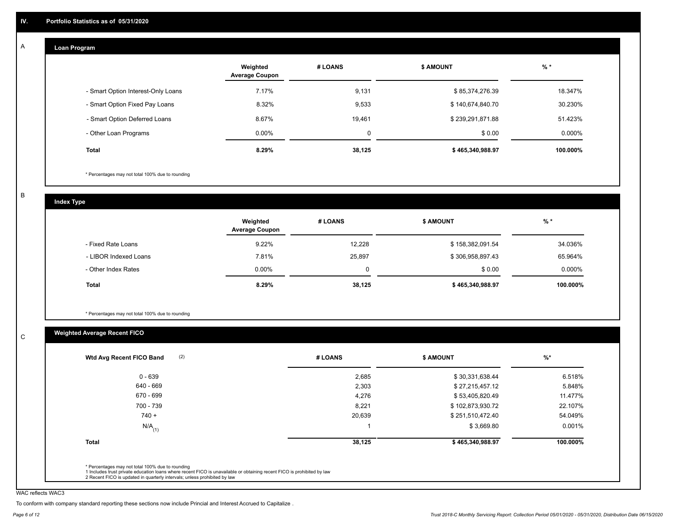#### **Loan Program**  A

|                                    | Weighted<br><b>Average Coupon</b> | # LOANS | <b>S AMOUNT</b>  | $%$ *    |
|------------------------------------|-----------------------------------|---------|------------------|----------|
| - Smart Option Interest-Only Loans | 7.17%                             | 9,131   | \$85,374,276.39  | 18.347%  |
| - Smart Option Fixed Pay Loans     | 8.32%                             | 9,533   | \$140,674,840.70 | 30.230%  |
| - Smart Option Deferred Loans      | 8.67%                             | 19.461  | \$239,291,871.88 | 51.423%  |
| - Other Loan Programs              | $0.00\%$                          | 0       | \$0.00           | 0.000%   |
| <b>Total</b>                       | 8.29%                             | 38,125  | \$465,340,988.97 | 100.000% |

\* Percentages may not total 100% due to rounding

B

C

**Index Type**

|                       | Weighted<br><b>Average Coupon</b> | # LOANS | <b>S AMOUNT</b>  | $%$ *    |
|-----------------------|-----------------------------------|---------|------------------|----------|
| - Fixed Rate Loans    | 9.22%                             | 12,228  | \$158,382,091.54 | 34.036%  |
| - LIBOR Indexed Loans | 7.81%                             | 25,897  | \$306,958,897.43 | 65.964%  |
| - Other Index Rates   | $0.00\%$                          | 0       | \$0.00           | 0.000%   |
| <b>Total</b>          | 8.29%                             | 38,125  | \$465,340,988.97 | 100.000% |

\* Percentages may not total 100% due to rounding

## **Weighted Average Recent FICO**

|                      | # LOANS | <b>\$ AMOUNT</b> | $%$ *    |
|----------------------|---------|------------------|----------|
| $0 - 639$            | 2,685   | \$30,331,638.44  | 6.518%   |
| 640 - 669            | 2,303   | \$27,215,457.12  | 5.848%   |
| 670 - 699            | 4,276   | \$53,405,820.49  | 11.477%  |
| 700 - 739            | 8,221   | \$102,873,930.72 | 22.107%  |
| $740 +$              | 20,639  | \$251,510,472.40 | 54.049%  |
| $N/A$ <sub>(1)</sub> |         | \$3,669.80       | 0.001%   |
| <b>Total</b>         | 38,125  | \$465,340,988.97 | 100.000% |

WAC reflects WAC3

To conform with company standard reporting these sections now include Princial and Interest Accrued to Capitalize .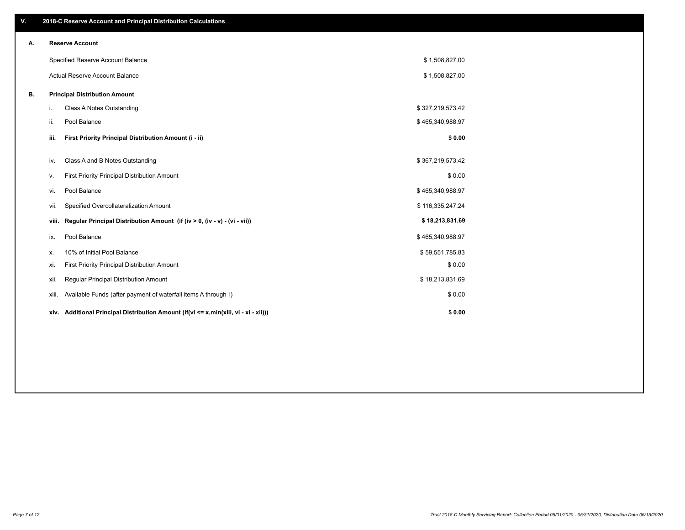| V. |     | 2018-C Reserve Account and Principal Distribution Calculations                       |                  |  |
|----|-----|--------------------------------------------------------------------------------------|------------------|--|
| А. |     | <b>Reserve Account</b>                                                               |                  |  |
|    |     | Specified Reserve Account Balance                                                    | \$1,508,827.00   |  |
|    |     | Actual Reserve Account Balance                                                       | \$1,508,827.00   |  |
| В. |     | <b>Principal Distribution Amount</b>                                                 |                  |  |
|    | i.  | Class A Notes Outstanding                                                            | \$327,219,573.42 |  |
|    | ii. | Pool Balance                                                                         | \$465,340,988.97 |  |
|    |     | First Priority Principal Distribution Amount (i - ii)<br>iii.                        | \$0.00           |  |
|    |     | Class A and B Notes Outstanding<br>iv.                                               | \$367,219,573.42 |  |
|    | ν.  | First Priority Principal Distribution Amount                                         | \$0.00           |  |
|    |     | Pool Balance<br>vi.                                                                  | \$465,340,988.97 |  |
|    |     | Specified Overcollateralization Amount<br>vii.                                       | \$116,335,247.24 |  |
|    |     | Regular Principal Distribution Amount (if (iv > 0, (iv - v) - (vi - vii))<br>viii.   | \$18,213,831.69  |  |
|    |     | Pool Balance<br>ix.                                                                  | \$465,340,988.97 |  |
|    | х.  | 10% of Initial Pool Balance                                                          | \$59,551,785.83  |  |
|    | xi. | First Priority Principal Distribution Amount                                         | \$0.00           |  |
|    |     | Regular Principal Distribution Amount<br>xii.                                        | \$18,213,831.69  |  |
|    |     | Available Funds (after payment of waterfall items A through I)<br>xiii.              | \$0.00           |  |
|    |     | xiv. Additional Principal Distribution Amount (if(vi <= x,min(xiii, vi - xi - xii))) | \$0.00           |  |
|    |     |                                                                                      |                  |  |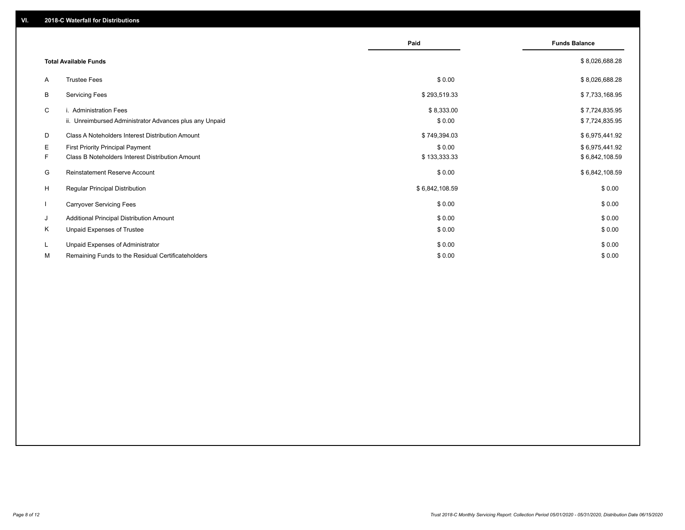|              |                                                         | Paid           | <b>Funds Balance</b> |
|--------------|---------------------------------------------------------|----------------|----------------------|
|              | <b>Total Available Funds</b>                            |                | \$8,026,688.28       |
| A            | <b>Trustee Fees</b>                                     | \$0.00         | \$8,026,688.28       |
| В            | <b>Servicing Fees</b>                                   | \$293,519.33   | \$7,733,168.95       |
| C            | i. Administration Fees                                  | \$8,333.00     | \$7,724,835.95       |
|              | ii. Unreimbursed Administrator Advances plus any Unpaid | \$0.00         | \$7,724,835.95       |
| D            | Class A Noteholders Interest Distribution Amount        | \$749,394.03   | \$6,975,441.92       |
| Е            | <b>First Priority Principal Payment</b>                 | \$0.00         | \$6,975,441.92       |
| F.           | Class B Noteholders Interest Distribution Amount        | \$133,333.33   | \$6,842,108.59       |
| G            | <b>Reinstatement Reserve Account</b>                    | \$0.00         | \$6,842,108.59       |
| H            | Regular Principal Distribution                          | \$6,842,108.59 | \$0.00               |
| $\mathbf{I}$ | <b>Carryover Servicing Fees</b>                         | \$0.00         | \$0.00               |
| J            | Additional Principal Distribution Amount                | \$0.00         | \$0.00               |
| Κ            | Unpaid Expenses of Trustee                              | \$0.00         | \$0.00               |
| L            | Unpaid Expenses of Administrator                        | \$0.00         | \$0.00               |
| М            | Remaining Funds to the Residual Certificateholders      | \$0.00         | \$0.00               |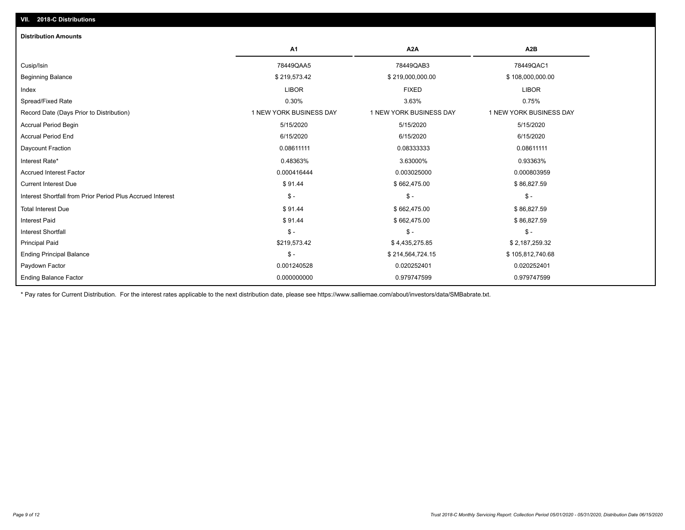| <b>Distribution Amounts</b>                                |                         |                         |                         |
|------------------------------------------------------------|-------------------------|-------------------------|-------------------------|
|                                                            | <b>A1</b>               | A <sub>2</sub> A        | A <sub>2</sub> B        |
| Cusip/Isin                                                 | 78449QAA5               | 78449QAB3               | 78449QAC1               |
| <b>Beginning Balance</b>                                   | \$219,573.42            | \$219,000,000.00        | \$108,000,000.00        |
| Index                                                      | <b>LIBOR</b>            | <b>FIXED</b>            | <b>LIBOR</b>            |
| Spread/Fixed Rate                                          | 0.30%                   | 3.63%                   | 0.75%                   |
| Record Date (Days Prior to Distribution)                   | 1 NEW YORK BUSINESS DAY | 1 NEW YORK BUSINESS DAY | 1 NEW YORK BUSINESS DAY |
| <b>Accrual Period Begin</b>                                | 5/15/2020               | 5/15/2020               | 5/15/2020               |
| <b>Accrual Period End</b>                                  | 6/15/2020               | 6/15/2020               | 6/15/2020               |
| Daycount Fraction                                          | 0.08611111              | 0.08333333              | 0.08611111              |
| Interest Rate*                                             | 0.48363%                | 3.63000%                | 0.93363%                |
| <b>Accrued Interest Factor</b>                             | 0.000416444             | 0.003025000             | 0.000803959             |
| <b>Current Interest Due</b>                                | \$91.44                 | \$662,475.00            | \$86,827.59             |
| Interest Shortfall from Prior Period Plus Accrued Interest | $\mathsf{\$}$ -         | $\mathsf{\$}$ -         | $\mathsf{\$}$ -         |
| <b>Total Interest Due</b>                                  | \$91.44                 | \$662,475.00            | \$86,827.59             |
| <b>Interest Paid</b>                                       | \$91.44                 | \$662,475.00            | \$86,827.59             |
| <b>Interest Shortfall</b>                                  | $\mathcal{S}$ -         | $$ -$                   | $$ -$                   |
| <b>Principal Paid</b>                                      | \$219,573.42            | \$4,435,275.85          | \$2,187,259.32          |
| <b>Ending Principal Balance</b>                            | $\mathcal{S}$ -         | \$214,564,724.15        | \$105,812,740.68        |
| Paydown Factor                                             | 0.001240528             | 0.020252401             | 0.020252401             |
| <b>Ending Balance Factor</b>                               | 0.000000000             | 0.979747599             | 0.979747599             |

\* Pay rates for Current Distribution. For the interest rates applicable to the next distribution date, please see https://www.salliemae.com/about/investors/data/SMBabrate.txt.

**VII. 2018-C Distributions**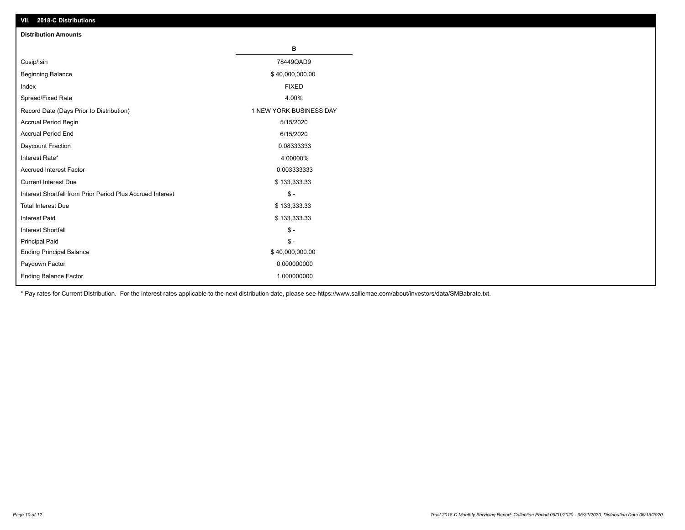| VII. 2018-C Distributions                                  |                         |
|------------------------------------------------------------|-------------------------|
| <b>Distribution Amounts</b>                                |                         |
|                                                            | В                       |
| Cusip/Isin                                                 | 78449QAD9               |
| <b>Beginning Balance</b>                                   | \$40,000,000.00         |
| Index                                                      | <b>FIXED</b>            |
| Spread/Fixed Rate                                          | 4.00%                   |
| Record Date (Days Prior to Distribution)                   | 1 NEW YORK BUSINESS DAY |
| Accrual Period Begin                                       | 5/15/2020               |
| <b>Accrual Period End</b>                                  | 6/15/2020               |
| Daycount Fraction                                          | 0.08333333              |
| Interest Rate*                                             | 4.00000%                |
| <b>Accrued Interest Factor</b>                             | 0.003333333             |
| <b>Current Interest Due</b>                                | \$133,333.33            |
| Interest Shortfall from Prior Period Plus Accrued Interest | $$ -$                   |
| <b>Total Interest Due</b>                                  | \$133,333.33            |
| <b>Interest Paid</b>                                       | \$133,333.33            |
| Interest Shortfall                                         | $\$ -                   |
| <b>Principal Paid</b>                                      | $$ -$                   |
| <b>Ending Principal Balance</b>                            | \$40,000,000.00         |
| Paydown Factor                                             | 0.000000000             |
| <b>Ending Balance Factor</b>                               | 1.000000000             |

\* Pay rates for Current Distribution. For the interest rates applicable to the next distribution date, please see https://www.salliemae.com/about/investors/data/SMBabrate.txt.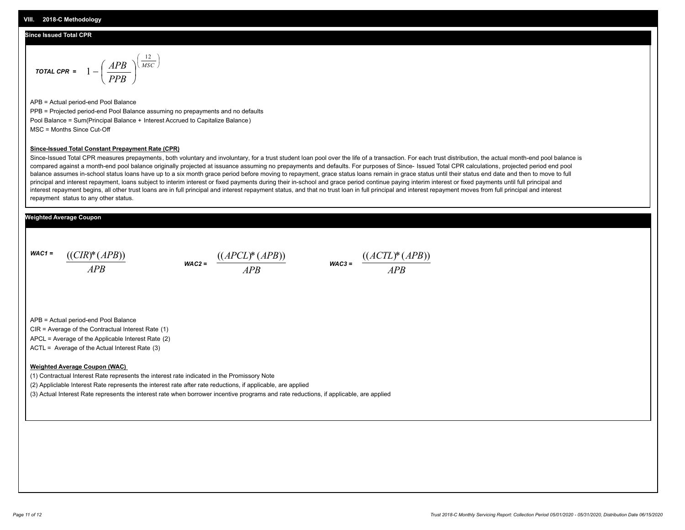#### **Since Issued Total CPR**

$$
\text{total CPR} = 1 - \left(\frac{APB}{PPB}\right)^{\left(\frac{12}{MSC}\right)}
$$

APB = Actual period-end Pool Balance PPB = Projected period-end Pool Balance assuming no prepayments and no defaults Pool Balance = Sum(Principal Balance + Interest Accrued to Capitalize Balance) MSC = Months Since Cut-Off

#### **Since-Issued Total Constant Prepayment Rate (CPR)**

Since-Issued Total CPR measures prepayments, both voluntary and involuntary, for a trust student loan pool over the life of a transaction. For each trust distribution, the actual month-end pool balance is compared against a month-end pool balance originally projected at issuance assuming no prepayments and defaults. For purposes of Since- Issued Total CPR calculations, projected period end pool balance assumes in-school status loans have up to a six month grace period before moving to repayment, grace status loans remain in grace status until their status end date and then to move to full principal and interest repayment, loans subject to interim interest or fixed payments during their in-school and grace period continue paying interim interest or fixed payments until full principal and interest repayment begins, all other trust loans are in full principal and interest repayment status, and that no trust loan in full principal and interest repayment moves from full principal and interest repayment status to any other status.

#### **Weighted Average Coupon**

*WAC1 = APB* ((*CIR*)\*(*APB*))





APB = Actual period-end Pool Balance

CIR = Average of the Contractual Interest Rate (1)

APCL = Average of the Applicable Interest Rate (2)

ACTL = Average of the Actual Interest Rate (3)

#### **Weighted Average Coupon (WAC)**

(1) Contractual Interest Rate represents the interest rate indicated in the Promissory Note

(2) Appliclable Interest Rate represents the interest rate after rate reductions, if applicable, are applied

(3) Actual Interest Rate represents the interest rate when borrower incentive programs and rate reductions, if applicable, are applied